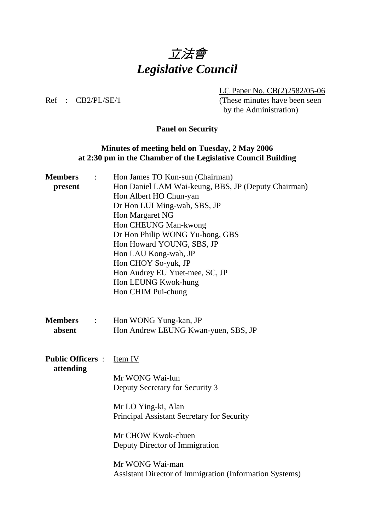

LC Paper No. CB(2)2582/05-06

Ref : CB2/PL/SE/1 (These minutes have been seen by the Administration)

### **Panel on Security**

### **Minutes of meeting held on Tuesday, 2 May 2006 at 2:30 pm in the Chamber of the Legislative Council Building**

| <b>Members</b>                             | Hon James TO Kun-sun (Chairman)                                |
|--------------------------------------------|----------------------------------------------------------------|
| present                                    | Hon Daniel LAM Wai-keung, BBS, JP (Deputy Chairman)            |
|                                            | Hon Albert HO Chun-yan                                         |
|                                            | Dr Hon LUI Ming-wah, SBS, JP                                   |
|                                            | Hon Margaret NG                                                |
|                                            | Hon CHEUNG Man-kwong                                           |
|                                            | Dr Hon Philip WONG Yu-hong, GBS                                |
|                                            | Hon Howard YOUNG, SBS, JP                                      |
|                                            | Hon LAU Kong-wah, JP                                           |
|                                            | Hon CHOY So-yuk, JP                                            |
|                                            | Hon Audrey EU Yuet-mee, SC, JP                                 |
|                                            | Hon LEUNG Kwok-hung                                            |
|                                            | Hon CHIM Pui-chung                                             |
| <b>Members</b><br>$\ddot{\cdot}$<br>absent | Hon WONG Yung-kan, JP<br>Hon Andrew LEUNG Kwan-yuen, SBS, JP   |
| <b>Public Officers:</b><br>attending       | <b>Item IV</b>                                                 |
|                                            | Mr WONG Wai-lun                                                |
|                                            | Deputy Secretary for Security 3                                |
|                                            |                                                                |
|                                            | Mr LO Ying-ki, Alan                                            |
|                                            | Principal Assistant Secretary for Security                     |
|                                            |                                                                |
|                                            | Mr CHOW Kwok-chuen                                             |
|                                            | Deputy Director of Immigration                                 |
|                                            |                                                                |
|                                            | Mr WONG Wai-man                                                |
|                                            | <b>Assistant Director of Immigration (Information Systems)</b> |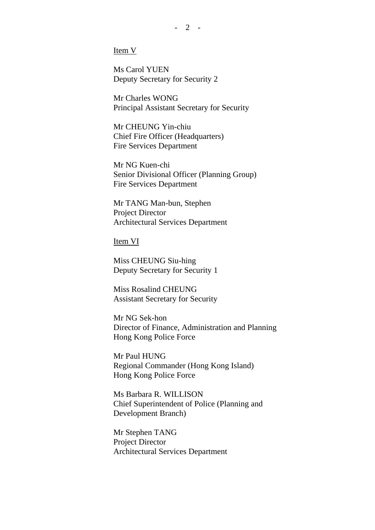Item V

Ms Carol YUEN Deputy Secretary for Security 2

Mr Charles WONG Principal Assistant Secretary for Security

Mr CHEUNG Yin-chiu Chief Fire Officer (Headquarters) Fire Services Department

Mr NG Kuen-chi Senior Divisional Officer (Planning Group) Fire Services Department

Mr TANG Man-bun, Stephen Project Director Architectural Services Department

Item VI

Miss CHEUNG Siu-hing Deputy Secretary for Security 1

Miss Rosalind CHEUNG Assistant Secretary for Security

Mr NG Sek-hon Director of Finance, Administration and Planning Hong Kong Police Force

Mr Paul HUNG Regional Commander (Hong Kong Island) Hong Kong Police Force

Ms Barbara R. WILLISON Chief Superintendent of Police (Planning and Development Branch)

Mr Stephen TANG Project Director Architectural Services Department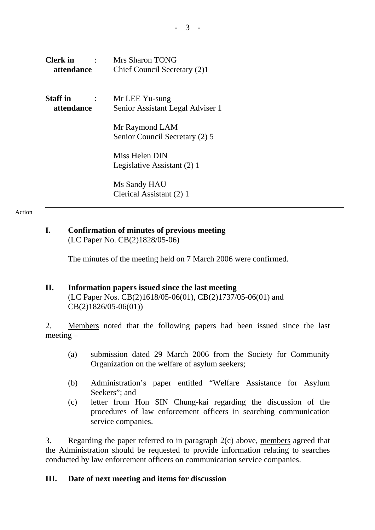| <b>Clerk</b> in | Mrs Sharon TONG                                  |
|-----------------|--------------------------------------------------|
| attendance      | Chief Council Secretary (2)1                     |
| <b>Staff</b> in | Mr LEE Yu-sung                                   |
| attendance      | Senior Assistant Legal Adviser 1                 |
|                 | Mr Raymond LAM<br>Senior Council Secretary (2) 5 |
|                 | Miss Helen DIN                                   |

 Ms Sandy HAU Clerical Assistant (2) 1

Legislative Assistant (2) 1

#### Action

### **I. Confirmation of minutes of previous meeting**  (LC Paper No. CB(2)1828/05-06)

The minutes of the meeting held on 7 March 2006 were confirmed.

### **II. Information papers issued since the last meeting**

(LC Paper Nos. CB(2)1618/05-06(01), CB(2)1737/05-06(01) and CB(2)1826/05-06(01))

2. Members noted that the following papers had been issued since the last meeting –

- (a) submission dated 29 March 2006 from the Society for Community Organization on the welfare of asylum seekers;
- (b) Administration's paper entitled "Welfare Assistance for Asylum Seekers"; and
- (c) letter from Hon SIN Chung-kai regarding the discussion of the procedures of law enforcement officers in searching communication service companies.

3. Regarding the paper referred to in paragraph 2(c) above, members agreed that the Administration should be requested to provide information relating to searches conducted by law enforcement officers on communication service companies.

### **III. Date of next meeting and items for discussion**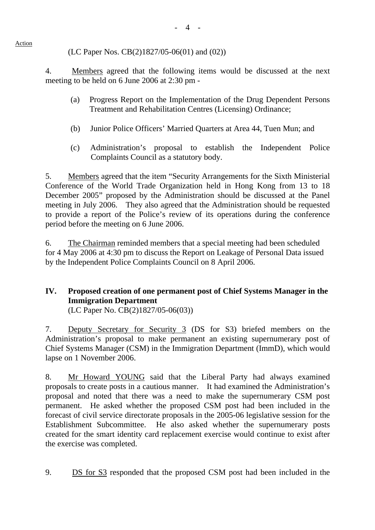## (LC Paper Nos. CB(2)1827/05-06(01) and (02))

4. Members agreed that the following items would be discussed at the next meeting to be held on 6 June 2006 at 2:30 pm -

- (a) Progress Report on the Implementation of the Drug Dependent Persons Treatment and Rehabilitation Centres (Licensing) Ordinance;
- (b) Junior Police Officers' Married Quarters at Area 44, Tuen Mun; and
- (c) Administration's proposal to establish the Independent Police Complaints Council as a statutory body.

5. Members agreed that the item "Security Arrangements for the Sixth Ministerial Conference of the World Trade Organization held in Hong Kong from 13 to 18 December 2005" proposed by the Administration should be discussed at the Panel meeting in July 2006. They also agreed that the Administration should be requested to provide a report of the Police's review of its operations during the conference period before the meeting on 6 June 2006.

6. The Chairman reminded members that a special meeting had been scheduled for 4 May 2006 at 4:30 pm to discuss the Report on Leakage of Personal Data issued by the Independent Police Complaints Council on 8 April 2006.

# **IV. Proposed creation of one permanent post of Chief Systems Manager in the Immigration Department**

(LC Paper No. CB(2)1827/05-06(03))

7. Deputy Secretary for Security 3 (DS for S3) briefed members on the Administration's proposal to make permanent an existing supernumerary post of Chief Systems Manager (CSM) in the Immigration Department (ImmD), which would lapse on 1 November 2006.

8. Mr Howard YOUNG said that the Liberal Party had always examined proposals to create posts in a cautious manner. It had examined the Administration's proposal and noted that there was a need to make the supernumerary CSM post permanent. He asked whether the proposed CSM post had been included in the forecast of civil service directorate proposals in the 2005-06 legislative session for the Establishment Subcommittee. He also asked whether the supernumerary posts created for the smart identity card replacement exercise would continue to exist after the exercise was completed.

9. DS for S3 responded that the proposed CSM post had been included in the

### Action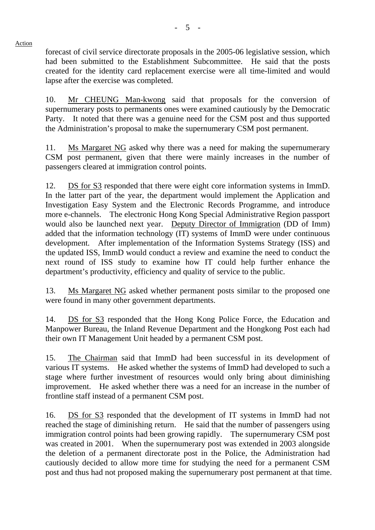forecast of civil service directorate proposals in the 2005-06 legislative session, which had been submitted to the Establishment Subcommittee. He said that the posts created for the identity card replacement exercise were all time-limited and would lapse after the exercise was completed.

10. Mr CHEUNG Man-kwong said that proposals for the conversion of supernumerary posts to permanents ones were examined cautiously by the Democratic Party. It noted that there was a genuine need for the CSM post and thus supported the Administration's proposal to make the supernumerary CSM post permanent.

11. Ms Margaret NG asked why there was a need for making the supernumerary CSM post permanent, given that there were mainly increases in the number of passengers cleared at immigration control points.

12. DS for S3 responded that there were eight core information systems in ImmD. In the latter part of the year, the department would implement the Application and Investigation Easy System and the Electronic Records Programme, and introduce more e-channels. The electronic Hong Kong Special Administrative Region passport would also be launched next year. Deputy Director of Immigration (DD of Imm) added that the information technology (IT) systems of ImmD were under continuous development. After implementation of the Information Systems Strategy (ISS) and the updated ISS, ImmD would conduct a review and examine the need to conduct the next round of ISS study to examine how IT could help further enhance the department's productivity, efficiency and quality of service to the public.

13. Ms Margaret NG asked whether permanent posts similar to the proposed one were found in many other government departments.

14. DS for S3 responded that the Hong Kong Police Force, the Education and Manpower Bureau, the Inland Revenue Department and the Hongkong Post each had their own IT Management Unit headed by a permanent CSM post.

15. The Chairman said that ImmD had been successful in its development of various IT systems. He asked whether the systems of ImmD had developed to such a stage where further investment of resources would only bring about diminishing improvement. He asked whether there was a need for an increase in the number of frontline staff instead of a permanent CSM post.

16. DS for S3 responded that the development of IT systems in ImmD had not reached the stage of diminishing return. He said that the number of passengers using immigration control points had been growing rapidly. The supernumerary CSM post was created in 2001. When the supernumerary post was extended in 2003 alongside the deletion of a permanent directorate post in the Police, the Administration had cautiously decided to allow more time for studying the need for a permanent CSM post and thus had not proposed making the supernumerary post permanent at that time.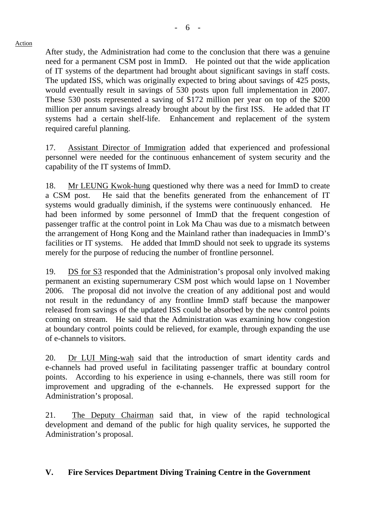After study, the Administration had come to the conclusion that there was a genuine need for a permanent CSM post in ImmD. He pointed out that the wide application of IT systems of the department had brought about significant savings in staff costs. The updated ISS, which was originally expected to bring about savings of 425 posts, would eventually result in savings of 530 posts upon full implementation in 2007. These 530 posts represented a saving of \$172 million per year on top of the \$200 million per annum savings already brought about by the first ISS. He added that IT systems had a certain shelf-life. Enhancement and replacement of the system required careful planning.

17. Assistant Director of Immigration added that experienced and professional personnel were needed for the continuous enhancement of system security and the capability of the IT systems of ImmD.

18. Mr LEUNG Kwok-hung questioned why there was a need for ImmD to create a CSM post. He said that the benefits generated from the enhancement of IT systems would gradually diminish, if the systems were continuously enhanced. He had been informed by some personnel of ImmD that the frequent congestion of passenger traffic at the control point in Lok Ma Chau was due to a mismatch between the arrangement of Hong Kong and the Mainland rather than inadequacies in ImmD's facilities or IT systems. He added that ImmD should not seek to upgrade its systems merely for the purpose of reducing the number of frontline personnel.

19. DS for S3 responded that the Administration's proposal only involved making permanent an existing supernumerary CSM post which would lapse on 1 November 2006. The proposal did not involve the creation of any additional post and would not result in the redundancy of any frontline ImmD staff because the manpower released from savings of the updated ISS could be absorbed by the new control points coming on stream. He said that the Administration was examining how congestion at boundary control points could be relieved, for example, through expanding the use of e-channels to visitors.

20. Dr LUI Ming-wah said that the introduction of smart identity cards and e-channels had proved useful in facilitating passenger traffic at boundary control points. According to his experience in using e-channels, there was still room for improvement and upgrading of the e-channels. He expressed support for the Administration's proposal.

21. The Deputy Chairman said that, in view of the rapid technological development and demand of the public for high quality services, he supported the Administration's proposal.

## **V. Fire Services Department Diving Training Centre in the Government**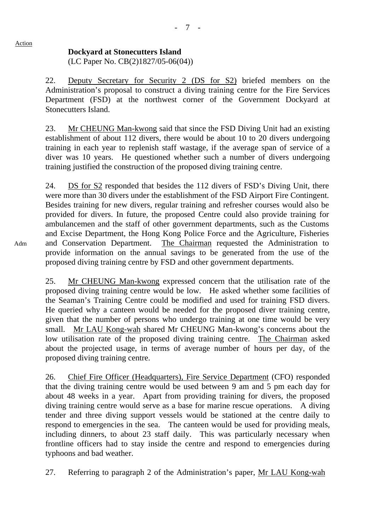### **Dockyard at Stonecutters Island**

(LC Paper No. CB(2)1827/05-06(04))

22. Deputy Secretary for Security 2 (DS for S2) briefed members on the Administration's proposal to construct a diving training centre for the Fire Services Department (FSD) at the northwest corner of the Government Dockyard at Stonecutters Island.

23. Mr CHEUNG Man-kwong said that since the FSD Diving Unit had an existing establishment of about 112 divers, there would be about 10 to 20 divers undergoing training in each year to replenish staff wastage, if the average span of service of a diver was 10 years. He questioned whether such a number of divers undergoing training justified the construction of the proposed diving training centre.

24. DS for S2 responded that besides the 112 divers of FSD's Diving Unit, there were more than 30 divers under the establishment of the FSD Airport Fire Contingent. Besides training for new divers, regular training and refresher courses would also be provided for divers. In future, the proposed Centre could also provide training for ambulancemen and the staff of other government departments, such as the Customs and Excise Department, the Hong Kong Police Force and the Agriculture, Fisheries and Conservation Department. The Chairman requested the Administration to provide information on the annual savings to be generated from the use of the proposed diving training centre by FSD and other government departments.

25. Mr CHEUNG Man-kwong expressed concern that the utilisation rate of the proposed diving training centre would be low. He asked whether some facilities of the Seaman's Training Centre could be modified and used for training FSD divers. He queried why a canteen would be needed for the proposed diver training centre, given that the number of persons who undergo training at one time would be very small. Mr LAU Kong-wah shared Mr CHEUNG Man-kwong's concerns about the low utilisation rate of the proposed diving training centre. The Chairman asked about the projected usage, in terms of average number of hours per day, of the proposed diving training centre.

26. Chief Fire Officer (Headquarters), Fire Service Department (CFO) responded that the diving training centre would be used between 9 am and 5 pm each day for about 48 weeks in a year. Apart from providing training for divers, the proposed diving training centre would serve as a base for marine rescue operations. A diving tender and three diving support vessels would be stationed at the centre daily to respond to emergencies in the sea. The canteen would be used for providing meals, including dinners, to about 23 staff daily. This was particularly necessary when frontline officers had to stay inside the centre and respond to emergencies during typhoons and bad weather.

27. Referring to paragraph 2 of the Administration's paper, Mr LAU Kong-wah

Adm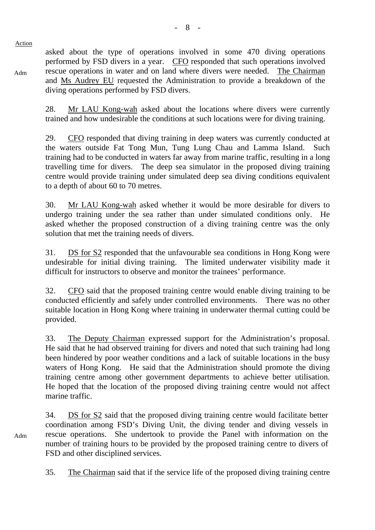Adm

Adm

asked about the type of operations involved in some 470 diving operations performed by FSD divers in a year. CFO responded that such operations involved rescue operations in water and on land where divers were needed. The Chairman and Ms Audrey EU requested the Administration to provide a breakdown of the diving operations performed by FSD divers.

28. Mr LAU Kong-wah asked about the locations where divers were currently trained and how undesirable the conditions at such locations were for diving training.

29. CFO responded that diving training in deep waters was currently conducted at the waters outside Fat Tong Mun, Tung Lung Chau and Lamma Island. Such training had to be conducted in waters far away from marine traffic, resulting in a long travelling time for divers. The deep sea simulator in the proposed diving training centre would provide training under simulated deep sea diving conditions equivalent to a depth of about 60 to 70 metres.

30. Mr LAU Kong-wah asked whether it would be more desirable for divers to undergo training under the sea rather than under simulated conditions only. He asked whether the proposed construction of a diving training centre was the only solution that met the training needs of divers.

31. DS for S2 responded that the unfavourable sea conditions in Hong Kong were undesirable for initial diving training. The limited underwater visibility made it difficult for instructors to observe and monitor the trainees' performance.

32. CFO said that the proposed training centre would enable diving training to be conducted efficiently and safely under controlled environments. There was no other suitable location in Hong Kong where training in underwater thermal cutting could be provided.

33. The Deputy Chairman expressed support for the Administration's proposal. He said that he had observed training for divers and noted that such training had long been hindered by poor weather conditions and a lack of suitable locations in the busy waters of Hong Kong. He said that the Administration should promote the diving training centre among other government departments to achieve better utilisation. He hoped that the location of the proposed diving training centre would not affect marine traffic.

34. DS for S2 said that the proposed diving training centre would facilitate better coordination among FSD's Diving Unit, the diving tender and diving vessels in rescue operations. She undertook to provide the Panel with information on the number of training hours to be provided by the proposed training centre to divers of FSD and other disciplined services.

35. The Chairman said that if the service life of the proposed diving training centre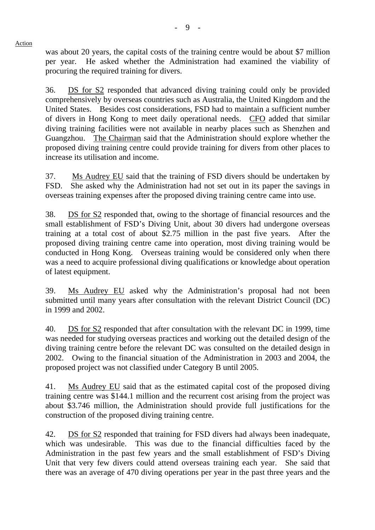was about 20 years, the capital costs of the training centre would be about \$7 million per year. He asked whether the Administration had examined the viability of procuring the required training for divers.

36. DS for S2 responded that advanced diving training could only be provided comprehensively by overseas countries such as Australia, the United Kingdom and the United States. Besides cost considerations, FSD had to maintain a sufficient number of divers in Hong Kong to meet daily operational needs. CFO added that similar diving training facilities were not available in nearby places such as Shenzhen and Guangzhou. The Chairman said that the Administration should explore whether the proposed diving training centre could provide training for divers from other places to increase its utilisation and income.

37. Ms Audrey EU said that the training of FSD divers should be undertaken by FSD. She asked why the Administration had not set out in its paper the savings in overseas training expenses after the proposed diving training centre came into use.

38. DS for S2 responded that, owing to the shortage of financial resources and the small establishment of FSD's Diving Unit, about 30 divers had undergone overseas training at a total cost of about \$2.75 million in the past five years. After the proposed diving training centre came into operation, most diving training would be conducted in Hong Kong. Overseas training would be considered only when there was a need to acquire professional diving qualifications or knowledge about operation of latest equipment.

39. Ms Audrey EU asked why the Administration's proposal had not been submitted until many years after consultation with the relevant District Council (DC) in 1999 and 2002.

40. DS for S2 responded that after consultation with the relevant DC in 1999, time was needed for studying overseas practices and working out the detailed design of the diving training centre before the relevant DC was consulted on the detailed design in 2002. Owing to the financial situation of the Administration in 2003 and 2004, the proposed project was not classified under Category B until 2005.

41. Ms Audrey EU said that as the estimated capital cost of the proposed diving training centre was \$144.1 million and the recurrent cost arising from the project was about \$3.746 million, the Administration should provide full justifications for the construction of the proposed diving training centre.

42. DS for S2 responded that training for FSD divers had always been inadequate, which was undesirable. This was due to the financial difficulties faced by the Administration in the past few years and the small establishment of FSD's Diving Unit that very few divers could attend overseas training each year. She said that there was an average of 470 diving operations per year in the past three years and the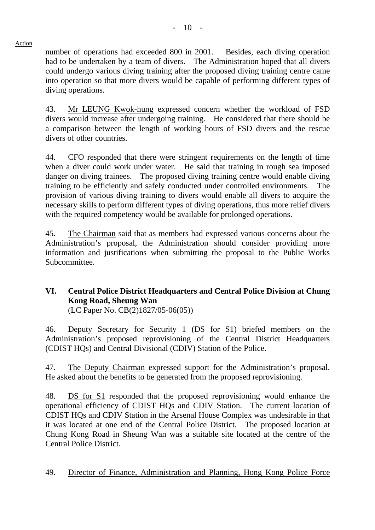number of operations had exceeded 800 in 2001. Besides, each diving operation had to be undertaken by a team of divers. The Administration hoped that all divers could undergo various diving training after the proposed diving training centre came into operation so that more divers would be capable of performing different types of diving operations.

43. Mr LEUNG Kwok-hung expressed concern whether the workload of FSD divers would increase after undergoing training. He considered that there should be a comparison between the length of working hours of FSD divers and the rescue divers of other countries.

44. CFO responded that there were stringent requirements on the length of time when a diver could work under water. He said that training in rough sea imposed danger on diving trainees. The proposed diving training centre would enable diving training to be efficiently and safely conducted under controlled environments. The provision of various diving training to divers would enable all divers to acquire the necessary skills to perform different types of diving operations, thus more relief divers with the required competency would be available for prolonged operations.

45. The Chairman said that as members had expressed various concerns about the Administration's proposal, the Administration should consider providing more information and justifications when submitting the proposal to the Public Works Subcommittee.

# **VI. Central Police District Headquarters and Central Police Division at Chung Kong Road, Sheung Wan**

(LC Paper No. CB(2)1827/05-06(05))

46. Deputy Secretary for Security 1 (DS for S1) briefed members on the Administration's proposed reprovisioning of the Central District Headquarters (CDIST HQs) and Central Divisional (CDIV) Station of the Police.

47. The Deputy Chairman expressed support for the Administration's proposal. He asked about the benefits to be generated from the proposed reprovisioning.

48. DS for S1 responded that the proposed reprovisioning would enhance the operational efficiency of CDIST HQs and CDIV Station. The current location of CDIST HQs and CDIV Station in the Arsenal House Complex was undesirable in that it was located at one end of the Central Police District. The proposed location at Chung Kong Road in Sheung Wan was a suitable site located at the centre of the Central Police District.

49. Director of Finance, Administration and Planning, Hong Kong Police Force